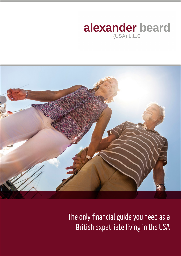# alexander beard  $(USA) L.L.C$



The only financial guide you need as a British expatriate living in the USA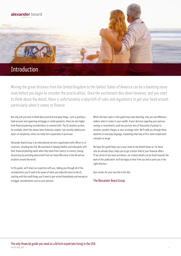

Moving the great distance from the United Kingdom to the United States of America can be a daunting move even before you begin to consider the practicalities. Once the excitement dies down however, and you start to think about the detail, there is unfortunately a labyrinth of rules and regulations to get your head around, particularly when it comes to finance.

Not only will you have to think about practical everyday things, such as getting a bank account and organising mortgage or rental payments, there are also higher level financial planning considerations to contend with. The US taxation system, for example, which has always been famously complex, has recently added extra layers of complexity, which can really hurt expatriates in particular.

Alexander Beard Group is an international services organisation with offices in six countries, including the USA. We specialise in helping families and individuals with their financial planning needs when they move from country to country, easing the journey by providing advice both from our head office here in the UK and our locations around the world.

In this guide, we'll share our expertise with you, talking you through all of the considerations you'll need to be aware of when you make the move to the US, starting with the small things you'll want to get sorted immediately and moving on to bigger considerations such as your pension.

Whilst the later topics in this guide may seem daunting, they are real difference makers when it comes to your wealth. A poor decision regarding your pension, savings or investments could see you lose tens of thousands of pounds to taxation, penalty charges or poor exchange rates. We'll walk you through these elements in everyday language, explaining what may at first seem complicated concepts as we go.

We hope this guide helps you in your move to the United States or, for those who are already there, helps you to get a better hold of your financial affairs. If we can be of any more assistance, our contact details can be found towards the back of this publication: we'll be happy to hear from you and to point you in the right direction.

Best wishes for your new life in the USA,

#### The Alexander Beard Group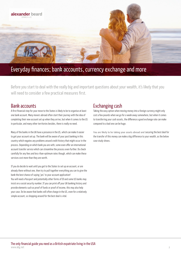

# Everyday finances; bank accounts, currency exchange and more

Before you start to deal with the really big and important questions about your wealth, it's likely that you will need to consider a few practical measures first.

### Bank accounts

A first financial step for your move to the States is likely to be to organise at least one bank account. Many movers abroad often start their journey with the idea of completing their new account set up when they arrive, but when it comes to the US in particular, and many other territories besides, there is really no need.

Many of the banks in the UK have a presence in the US, which can make it easier to get your account set up. The bank will be aware of your past banking in this country which negates any problems around credit history that might occur in the process. Depending on which bank you are with, some even offer an international account transfer service which can streamline the process even further. Do check carefully for any fees and less-than-optimum rates though, which can make these services cost more than they are worth.

If you do decide to wait until you get to the States to set up an account, or are already there without one, then try to pull together everything you can to give the bank the best chance of saying 'yes' to your account application! You will need a Passport and potentially other forms of ID and some US banks may insist on a social security number. If you can print off your UK banking history and provide elements such as proof of funds or proof of income, this may also help your case. Do be aware that banks will often charge in the US, even for a relatively simple account, so shopping around for the best deal is vital.

### Exchanging cash

Taking the easy option when moving money into a foreign currency might only cost a few pounds when we go for a week away somewhere, but when it comes to transferring your cash assets, the difference a good exchange rate can make compared to a bad one can be huge.

You are likely to be taking your assets abroad and securing the best deal for the transfer of this money can make a big difference to your wealth, as the below case study shows.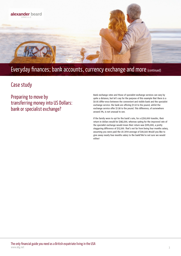

# Everyday finances; bank accounts, currency exchange and more (continued)

## Case study

Preparing to move by transferring money into US Dollars: bank or specialist exchange?

Bank exchange rates and those of specialist exchange services can vary by quite a distance, but let's say for the purpose of this example that there is a \$0.05 differ-ence between the convenient and visible bank and the specialist exchange service: the bank are offering \$1.53 to the pound, whilst the exchange service offer \$1.58 to the pound. This difference, of somewhere around 3%, is not unusual to see.

If the family were to opt for the bank's rate, for a £250,000 transfer, their return in dollars would be \$382,500, whereas opting for the improved rate of the specialist exchange would mean their return was \$395,000, a pretty staggering difference of \$12,500. That's not far from being four months salary, assuming you were paid the US 2014 average of \$40,560. Would you like to give away nearly four months salary to the bank? We're not sure we would either!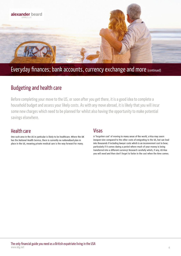

# Everyday finances; bank accounts, currency exchange and more (continued)

# Budgeting and health care

Before completing your move to the US, or soon after you get there, it is a good idea to complete a household budget and assess your likely costs. As with any move abroad, it is likely that you will incur some new charges which need to be planned for whilst also having the opportunity to make potential savings elsewhere.

### Health care

One such area in the US in particular is likely to be healthcare. Where the UK has the National Health Service, there is currently no nationalised plan in place in the US, meaning private medical care is the way forward for many.

### Visas

A 'forgotten cost' of moving to many areas of the world, a Visa may seem inexpen-sive compared to the other costs of emigrating to the US, but can lead into thousands if including lawyer costs which is an inconvenient cost to bear; particularly if it comes during a period where much of your money is being transferred into a different currency! Research carefully which, if any, US Visa you will need and then don't forget to factor in the cost when the time comes.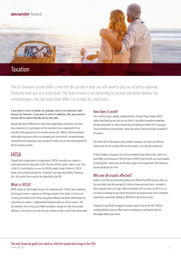

The US taxation system differs from the UK system in that you will need to pay tax at both a national (federal) level and at a state level. The federal level is set nationally by income and other familiar tax methodologies, but the state level differs on a state-by-state basis.

#### If you were to retire in Florida, for example, there is no retirement state income tax. However, if you were to retire in California, then your pension income will be taxed Federally and by the state.

Bearing the above differences in mind when emigrating is important, but even more important is to get proper and formal advice from a registered US tax specialist with appropriate cross-border permissions. Whilst a financial planner will be able to give you advice on arranging your investments, we would always recommend also employing a tax specialist to make sure you are fully prepared for the US taxation system.

## **FATCA**

Though fairly complicated in its application, FATCA is actually very simple to understand and the main point is this: the new FATCA system, which is now 'live' in the US, is particularly onerous for British expats living in America. FATCA needs to be carefully planned for, to decide if you have any liability. Following this, the correct forms need to be submitted to the IRS.

#### What is FATCA?

FATCA stands for the Foreign Account Tax Compliance Act. The Act was created by the US government in response to the huge amount of tax dollars it misses out on each year thanks to the money being kept offshore and either deliberately not reported by its owners, or legitimately forgotten about on US tax returns. The US estimates that it loses \$100 billion annually in unpaid tax from monies kept offshore, so it's easy to see why they are so keen to claim some of the money back!

#### How does it work?

This is where it gets slightly complicated but, to keep things simple, FATCA, rather than being an out-and-out tax itself, is basically a mandate compelling foreign institutions to report money they are holding on behalf of US taxpayers. These institutions include banks, which will clearly often hold funds on behalf of US owners.

The other half of the equation also compels taxpayers to reveal any offshore monies that do not currently fall into US taxation, via a new IRS submission.

If the US judges a taxpayer not to have revealed foreign-held assets, which it is more likely to do because of the first part of FATCA, then the IRS can issue steadily escalating fines, which even at the early stages can be significant. Non-filing can also be penalised via a fine.

### Why are UK expats affected?

Expats in the USA are particularly likely to be affected by FATCA because they are far more likely than the average US citizen to have overseas funds, normally in their original country of origin. With an unfamiliar IRS tax return to fill in as it is, correctly accounting for any funds that need to be reported may not be simple for expatriates, potentially leading to FATCA fines and further action.

Though not specifically designed to target expats living in the USA, FATCA is certainly likely to have an effect and is something you will need to plan for thoroughly before your move.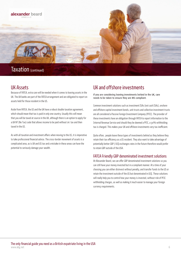

### UK Assets

Because of FATCA, extra care will be needed when it comes to leaving assets in the UK. The UK banks are part of the FATCA arrangement and are obligated to report on assets held for those resident in the US.

Aside from FATCA, the US and the UK have a robust double taxation agreement, which should mean that tax is paid in only one country. Usually this will mean that you will be taxed at source in the UK, although there is an option to apply for a UK NT (No Tax) code that allows income to be paid without UK tax and then taxed in the US.

As with all taxation and investment affairs when moving to the US, it is imperative to take professional financial advice. The cross-border movement of assets is a complicated area, as is UK and US tax and a mistake in these areas can have the potential to seriously damage your wealth.

## UK and offshore investments

If you are considering leaving investments behind in the UK, care needs to be taken to ensure they are IRS compliant.

Common investment solutions such as investment ISAs (not cash ISAs), onshore and offshore capital investment bonds, unit trusts and collective investment trusts are all considered a Passive Foreign Investment Company (PFIC). The provider of these investments have an obligation through FATCA to report information to the Internal Revenue Service and should they be deemed a PFIC, a 30% withholding tax is charged. This makes your UK and offshore investments very tax inefficient.

Quite often, people leave these types of investments behind as they believe they retain their tax efficiency as a US resident. They also want to take advantage of potentially better GBP / US\$ exchanges rates in the future therefore would prefer to retain GBP outside of the USA.

#### FATCA Friendly GBP denominated investment solutions

At Alexander Beard, we can offer GBP denominated investment solutions so you can still have your money invested but in a compliant manner. At a time of your choosing you can either disinvest without penalty, and transfer funds to the US or retain the investment outside of the US but denominated in US\$. These solutions will really help you to control how your money is invested, without risk of PFIC withholding charges, as well as making it much easier to manage your foreign currency requirements.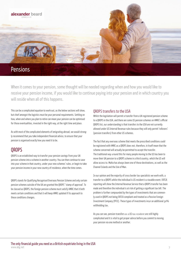

When it comes to your pension, some thought will be needed regarding when and how you would like to receive your pension income, if you would like to continue paying into your pension and in which country you will reside when all of this happens.

This can be a complicated equation to work out, as the below sections will show, but chief amongst the logistics must be your personal requirements. Settling on how, when and where you plan to retire can mean your pension can be optimised for those eventualities, invested in the right way, at the right time and place.

As with most of the complicated elements of emigrating abroad, we would strongly recommend that you take independent financial advice, to ensure that your pension is organised exactly how you need it to be.

## **OROPS**

QROPS is an established way to transfer your pension savings from your UK pension scheme into a scheme in another country. You can then continue to save into your scheme in that country, under your new schemes' rules, or begin to take your pension income in your new country of residence, when the time comes.

QROPS stands for Qualifying Recognised Overseas Pension Scheme and only certain pension schemes outside of the UK are granted the QROPS' 'stamp of approval'. To be classed as QROPS, the foreign pension scheme must satisfy HMRC that it both meets certain conditions and that it will keep HMRC updated if its approach to these conditions changes.

#### QROPS transfers to the USA

Whilst the legislation will permit a transfer from a UK registered pension scheme to a QROPS in the USA, and there are some US pension schemes on HMRC's official QROPS list, our understanding is that transfers to the USA are not currently allowed under US Internal Revenue rules because they will only permit 'rollovers' (pension transfers) from other US schemes.

The fact that any overseas scheme that meets the prescribed conditions could be registered with HMRC as a QROPS does not, therefore, in itself mean that the scheme concerned will actually be permitted to accept the transfer. The traditional way around this for many people moving to the US has been to move their UK pension to a QROPS scheme in a third country, which the US will allow access to. Malta has always been one of those destinations, as well as the Channel Islands and the Isle of Man.

In our opinion and the majority of cross border tax specialists we work with, a transfer to a QROPS whilst the individual is US resident is a taxable event. FATCA reporting will show the Internal Revenue Service that a QROPS transfer has been made and therefore the individual is at risk of getting a significant tax bill. The problem is further compounded by the types of investments that are commonly used in QROPS not being FATCA compliant and treated as a Passive Foreign Investment Company (PFIC). These types of investments incur an additional 30% withholding tax.

As you can see, pension transfers as a US tax resident are still highly complicated and it is vital to get proper advice before you commit to moving your pension via one method or another.